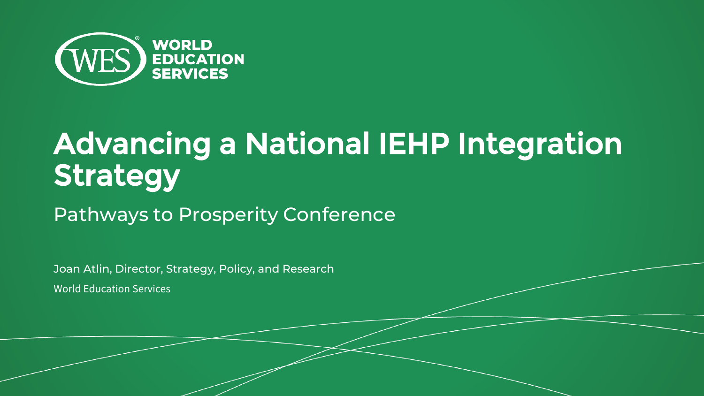

# Advancing a National IEHP Integration **Strategy**

Pathways to Prosperity Conference

Joan Atlin, Director, Strategy, Policy, and Research

World Education Services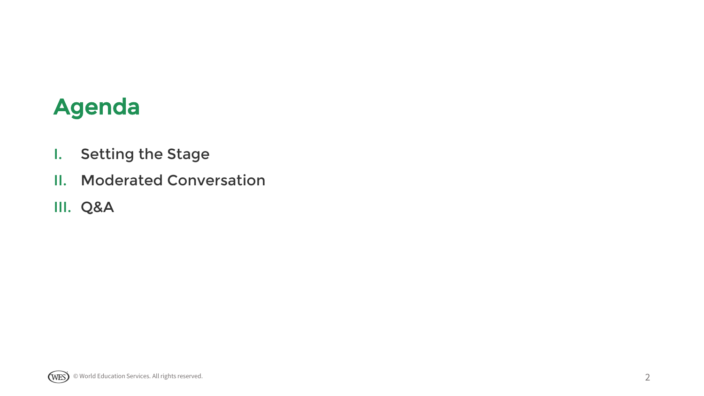### Agenda

- I. Setting the Stage
- II. Moderated Conversation
- III. Q&A

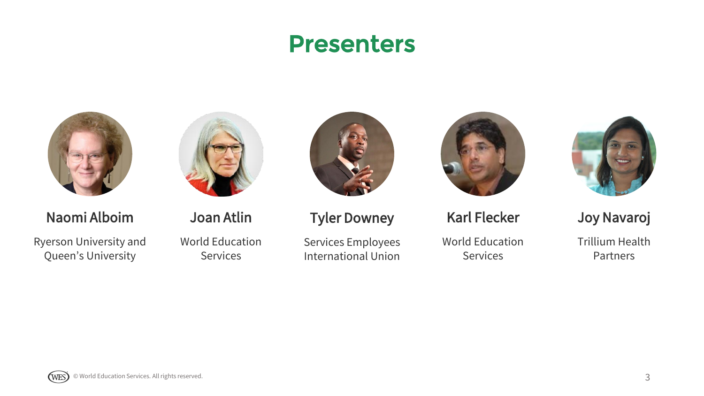### Presenters





Naomi Alboim

Ryerson University and Queen's University

Joan Atlin

World Education **Services** 



#### Tyler Downey

Services Employees International Union



Karl Flecker

World Education **Services** 



Joy Navaroj

Trillium Health **Partners** 

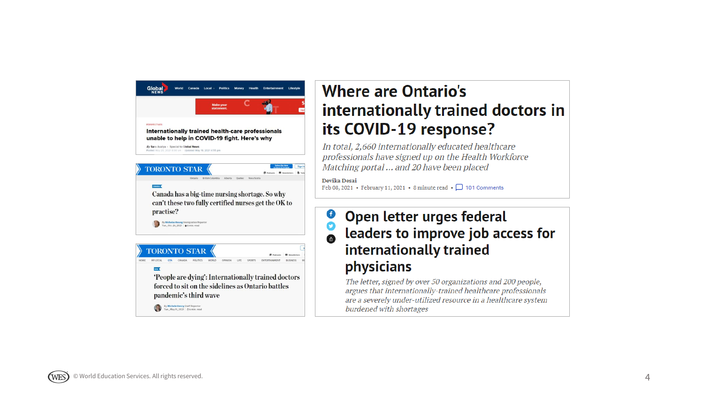

#### **Where are Ontario's** internationally trained doctors in its COVID-19 response?

In total, 2,660 internationally educated healthcare professionals have signed up on the Health Workforce Matching portal ... and 20 have been placed

Devika Desai Feb 08, 2021 • February 11, 2021 • 8 minute read •  $\Box$  101 Comments

 $\mathbf C$ 

#### Open letter urges federal O leaders to improve job access for internationally trained physicians

The letter, signed by over 50 organizations and 200 people, argues that internationally-trained healthcare professionals are a severely under-utilized resource in a healthcare system burdened with shortages

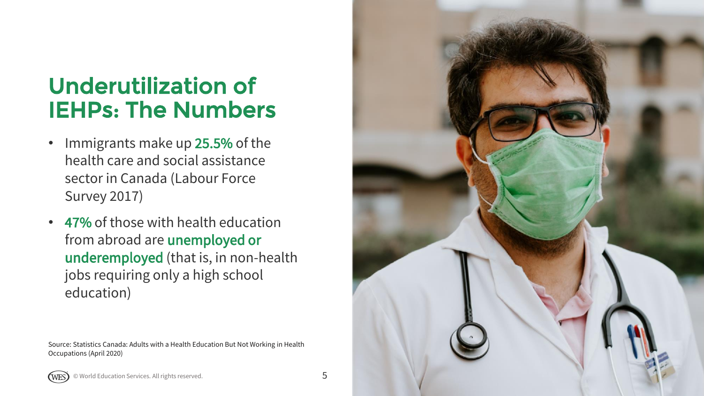## Underutilization of IEHPs: The Numbers

- Immigrants make up 25.5% of the health care and social assistance sector in Canada (Labour Force Survey 2017)
- 47% of those with health education from abroad are unemployed or underemployed (that is, in non -health jobs requiring only a high school education)

Source: Statistics Canada: Adults with a Health Education But Not Working in Health Occupations (April 2020)

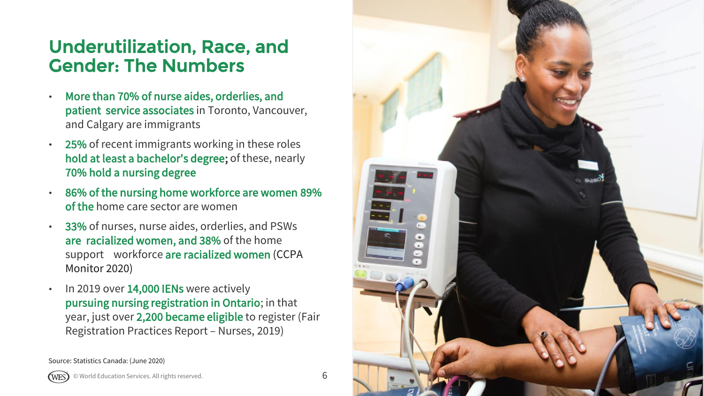#### Underutilization, Race, and Gender: The Numbers

- More than 70% of nurse aides, orderlies, and patient service associates in Toronto, Vancouver, and Calgary are immigrants
- 25% of recent immigrants working in these roles hold at least a bachelor's degree; of these, nearly 70% hold a nursing degree
- 86% of the nursing home workforce are women 89% of the home care sector are women
- 33% of nurses, nurse aides, orderlies, and PSWs are racialized women, and 38% of the home support workforce are racialized women (CCPA Monitor 2020)
- In 2019 over 14,000 IENs were actively pursuing nursing registration in Ontario; in that year, just over 2,200 became eligible to register (Fair Registration Practices Report – Nurses, 2019)

Source: Statistics Canada: (June 2020)





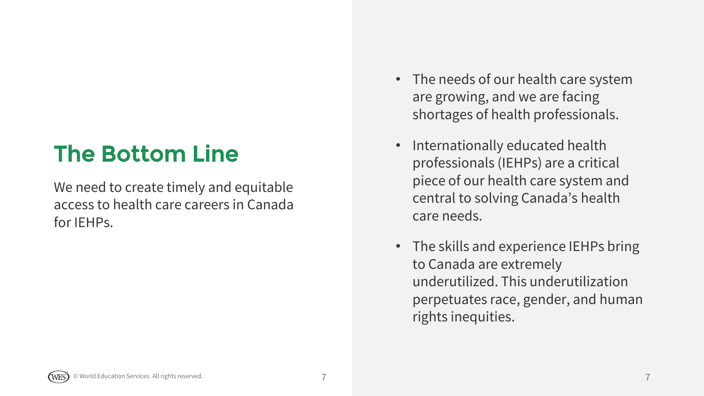## The Bottom Line

We need to create timely and equitable access to health care careers in Canada for IEHPs.

- The needs of our health care system are growing, and we are facing shortages of health professionals.
- Internationally educated health professionals (IEHPs) are a critical piece of our health care system and central to solving Canada's health care needs.
- The skills and experience IEHPs bring to Canada are extremely underutilized. This underutilization perpetuates race, gender, and human rights inequities.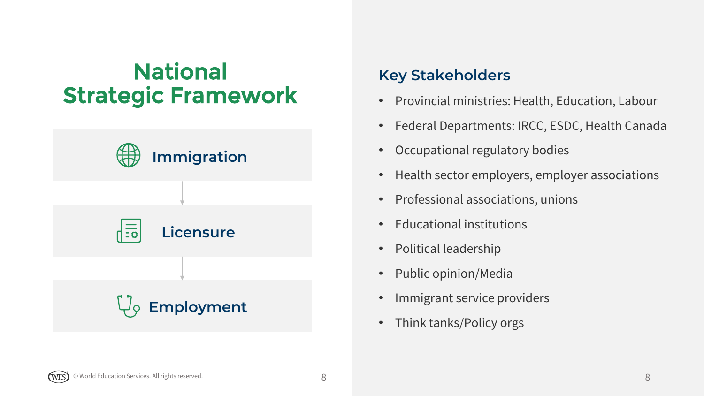## National Strategic Framework



#### **Key Stakeholders**

- Provincial ministries: Health, Education, Labour
- Federal Departments: IRCC, ESDC, Health Canada
- Occupational regulatory bodies
- Health sector employers, employer associations
- Professional associations, unions
- Educational institutions
- Political leadership
- Public opinion/Media
- Immigrant service providers
- Think tanks/Policy orgs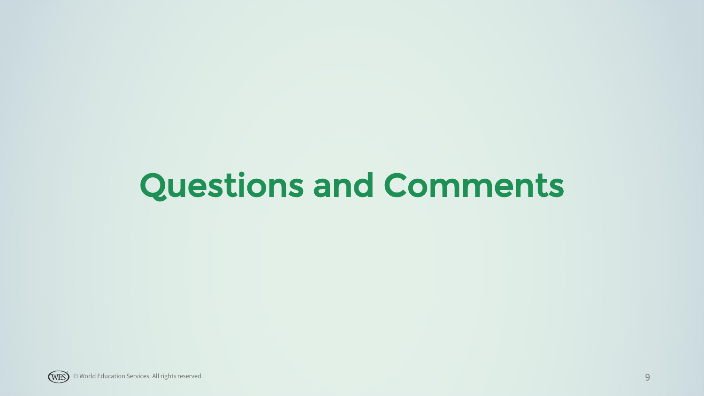# Questions and Comments